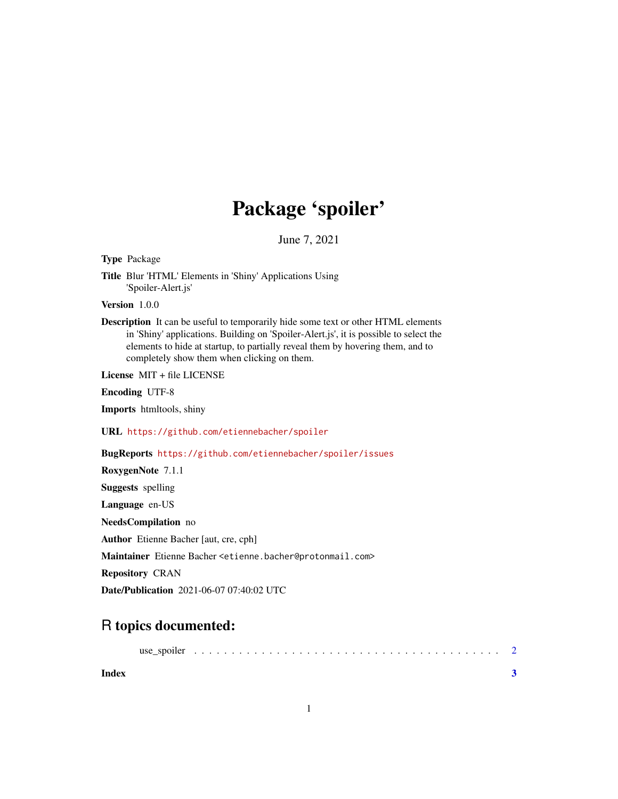## Package 'spoiler'

June 7, 2021

Type Package

Title Blur 'HTML' Elements in 'Shiny' Applications Using 'Spoiler-Alert.js'

Version 1.0.0

Description It can be useful to temporarily hide some text or other HTML elements in 'Shiny' applications. Building on 'Spoiler-Alert.js', it is possible to select the elements to hide at startup, to partially reveal them by hovering them, and to completely show them when clicking on them.

License MIT + file LICENSE

Encoding UTF-8

Imports htmltools, shiny

URL <https://github.com/etiennebacher/spoiler>

BugReports <https://github.com/etiennebacher/spoiler/issues>

RoxygenNote 7.1.1

Suggests spelling

Language en-US

NeedsCompilation no

Author Etienne Bacher [aut, cre, cph]

Maintainer Etienne Bacher <etienne.bacher@protonmail.com>

Repository CRAN

Date/Publication 2021-06-07 07:40:02 UTC

### R topics documented:

**Index** [3](#page-2-0)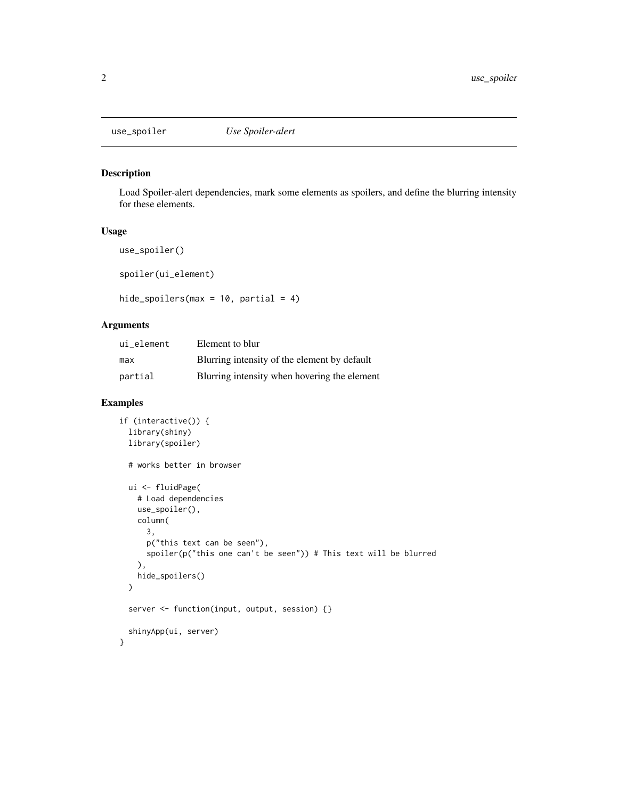<span id="page-1-0"></span>

#### Description

Load Spoiler-alert dependencies, mark some elements as spoilers, and define the blurring intensity for these elements.

#### Usage

```
use_spoiler()
```
spoiler(ui\_element)

hide\_spoilers(max =  $10$ , partial =  $4$ )

#### Arguments

| ui_element | Element to blur                              |
|------------|----------------------------------------------|
| max        | Blurring intensity of the element by default |
| partial    | Blurring intensity when hovering the element |

#### Examples

```
if (interactive()) {
 library(shiny)
 library(spoiler)
 # works better in browser
 ui <- fluidPage(
    # Load dependencies
   use_spoiler(),
   column(
      3,
      p("this text can be seen"),
      spoiler(p("this one can't be seen")) # This text will be blurred
   ),
   hide_spoilers()
 \mathcal{L}server <- function(input, output, session) {}
 shinyApp(ui, server)
}
```